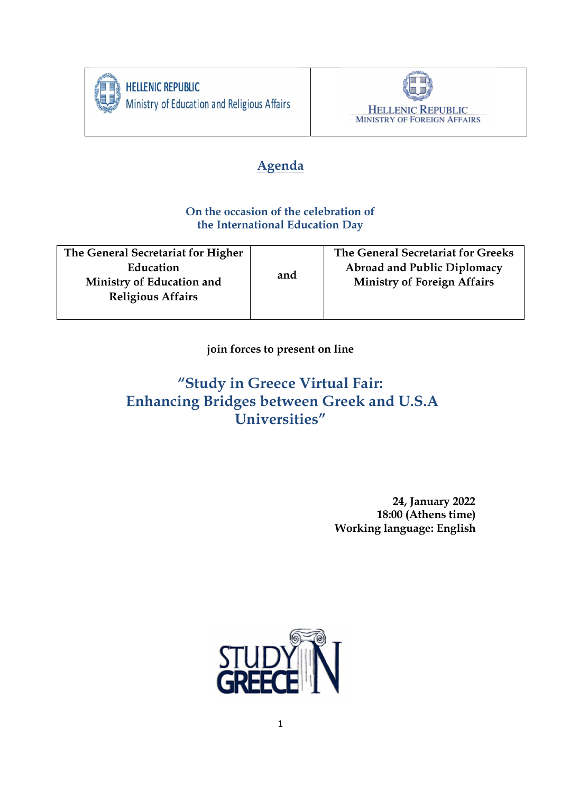

**HELLENIC REPUBLIC** Ministry of Education and Religious Affairs



# Agenda

## On the occasion of the celebration of the International Education Day

| The General Secretariat for Higher | and | The General Secretariat for Greeks |
|------------------------------------|-----|------------------------------------|
| Education                          |     | <b>Abroad and Public Diplomacy</b> |
| Ministry of Education and          |     | <b>Ministry of Foreign Affairs</b> |
| <b>Religious Affairs</b>           |     |                                    |
|                                    |     |                                    |

join forces to present on line

# "Study in Greece Virtual Fair: Enhancing Bridges between Greek and U.S.A Universities"

 24, January 2022 18:00 (Athens time) Working language: English

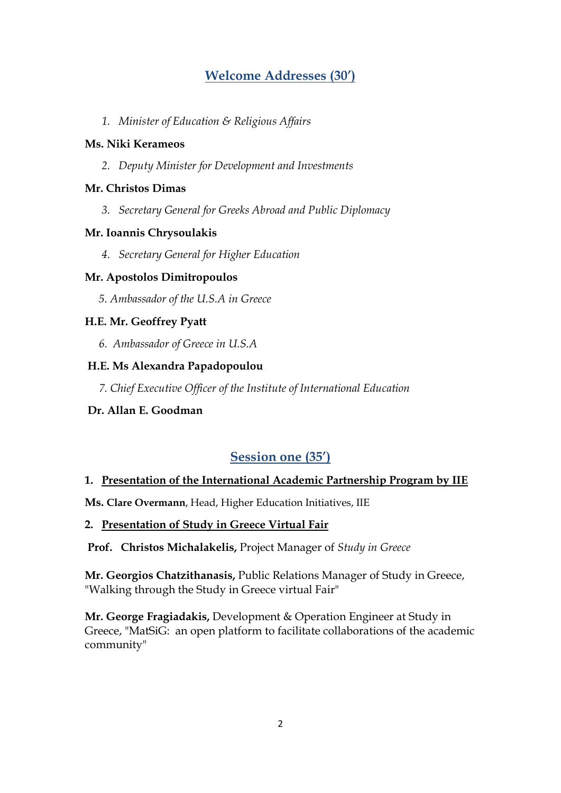## Welcome Addresses (30')

1. Minister of Education & Religious Affairs

#### Ms. Niki Kerameos

2. Deputy Minister for Development and Investments

#### Mr. Christos Dimas

3. Secretary General for Greeks Abroad and Public Diplomacy

#### Mr. Ioannis Chrysoulakis

4. Secretary General for Higher Education

#### Mr. Apostolos Dimitropoulos

5. Ambassador of the U.S.A in Greece

#### H.E. Mr. Geoffrey Pyatt

6. Ambassador of Greece in U.S.A

#### H.E. Ms Alexandra Papadopoulou

7. Chief Executive Officer of the Institute of International Education

#### Dr. Allan E. Goodman

## Session one (35')

#### 1. Presentation of the International Academic Partnership Program by IIE

Ms. Clare Overmann, Head, Higher Education Initiatives, IIE

#### 2. Presentation of Study in Greece Virtual Fair

Prof. Christos Michalakelis, Project Manager of Study in Greece

Mr. Georgios Chatzithanasis, Public Relations Manager of Study in Greece, "Walking through the Study in Greece virtual Fair"

Mr. George Fragiadakis, Development & Operation Engineer at Study in Greece, "MatSiG: an open platform to facilitate collaborations of the academic community"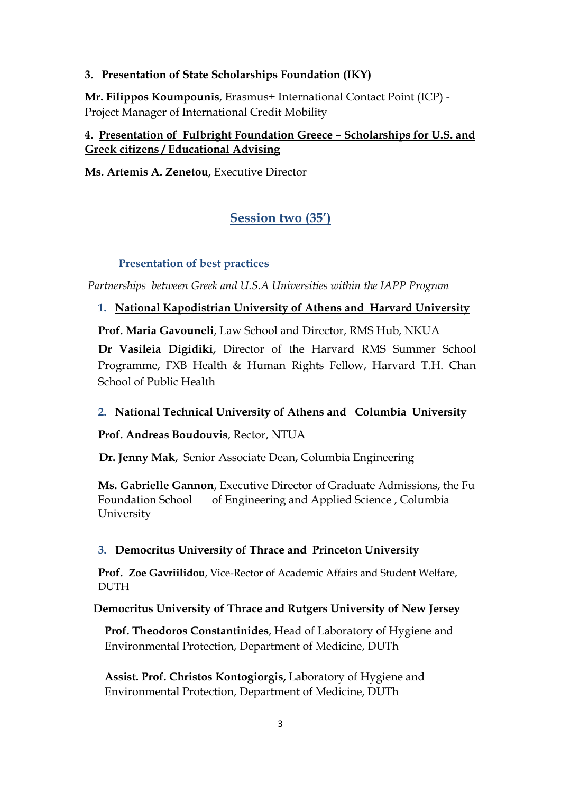## 3. Presentation of State Scholarships Foundation (IKY)

Mr. Filippos Koumpounis, Erasmus+ International Contact Point (ICP) - Project Manager of International Credit Mobility

## 4. Presentation of Fulbright Foundation Greece – Scholarships for U.S. and Greek citizens / Educational Advising

Ms. Artemis A. Zenetou, Executive Director

## Session two (35')

## Presentation of best practices

Partnerships between Greek and U.S.A Universities within the IAPP Program

## 1. National Kapodistrian University of Athens and Harvard University

Prof. Maria Gavouneli, Law School and Director, RMS Hub, NKUA

Dr Vasileia Digidiki, Director of the Harvard RMS Summer School Programme, FXB Health & Human Rights Fellow, Harvard T.H. Chan School of Public Health

## 2. National Technical University of Athens and Columbia University

Prof. Andreas Boudouvis, Rector, NTUA

Dr. Jenny Mak, Senior Associate Dean, Columbia Engineering

Ms. Gabrielle Gannon, Executive Director of Graduate Admissions, the Fu Foundation School of Engineering and Applied Science , Columbia University

## 3. Democritus University of Thrace and Princeton University

Prof. Zoe Gavriilidou, Vice-Rector of Academic Affairs and Student Welfare, **DUTH** 

## Democritus University of Thrace and Rutgers University of New Jersey

 Prof. Theodoros Constantinides, Head of Laboratory of Hygiene and Environmental Protection, Department of Medicine, DUTh

 Assist. Prof. Christos Kontogiorgis, Laboratory of Hygiene and Environmental Protection, Department of Medicine, DUTh